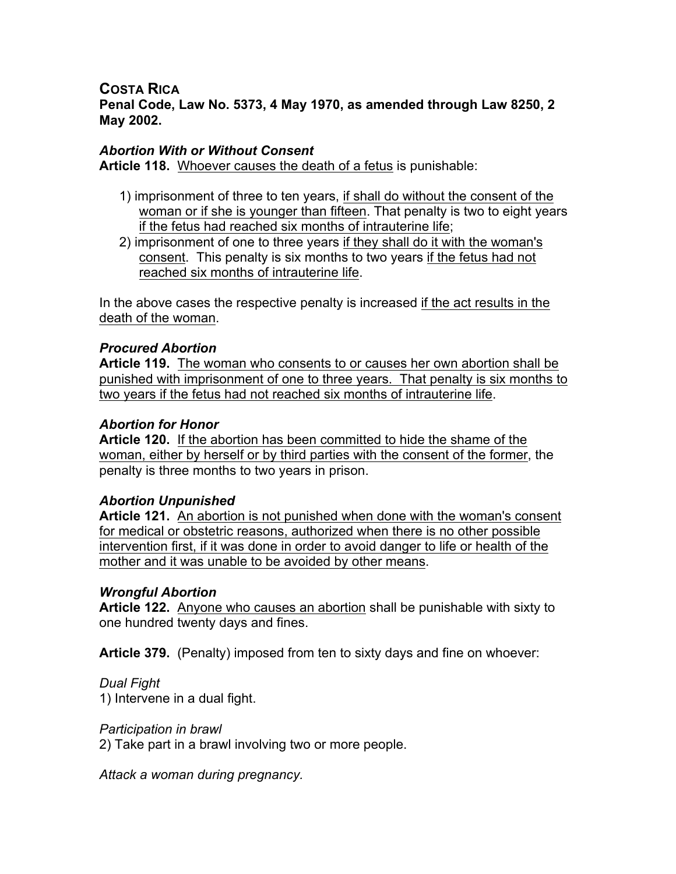**COSTA RICA Penal Code, Law No. 5373, 4 May 1970, as amended through Law 8250, 2 May 2002.**

## *Abortion With or Without Consent*

**Article 118.** Whoever causes the death of a fetus is punishable:

- 1) imprisonment of three to ten years, if shall do without the consent of the woman or if she is younger than fifteen. That penalty is two to eight years if the fetus had reached six months of intrauterine life;
- 2) imprisonment of one to three years if they shall do it with the woman's consent. This penalty is six months to two years if the fetus had not reached six months of intrauterine life.

In the above cases the respective penalty is increased if the act results in the death of the woman.

## *Procured Abortion*

**Article 119.** The woman who consents to or causes her own abortion shall be punished with imprisonment of one to three years. That penalty is six months to two years if the fetus had not reached six months of intrauterine life.

## *Abortion for Honor*

**Article 120.** If the abortion has been committed to hide the shame of the woman, either by herself or by third parties with the consent of the former, the penalty is three months to two years in prison.

### *Abortion Unpunished*

**Article 121.** An abortion is not punished when done with the woman's consent for medical or obstetric reasons, authorized when there is no other possible intervention first, if it was done in order to avoid danger to life or health of the mother and it was unable to be avoided by other means.

### *Wrongful Abortion*

**Article 122.** Anyone who causes an abortion shall be punishable with sixty to one hundred twenty days and fines.

**Article 379.** (Penalty) imposed from ten to sixty days and fine on whoever:

# *Dual Fight*

1) Intervene in a dual fight.

### *Participation in brawl*

2) Take part in a brawl involving two or more people.

*Attack a woman during pregnancy.*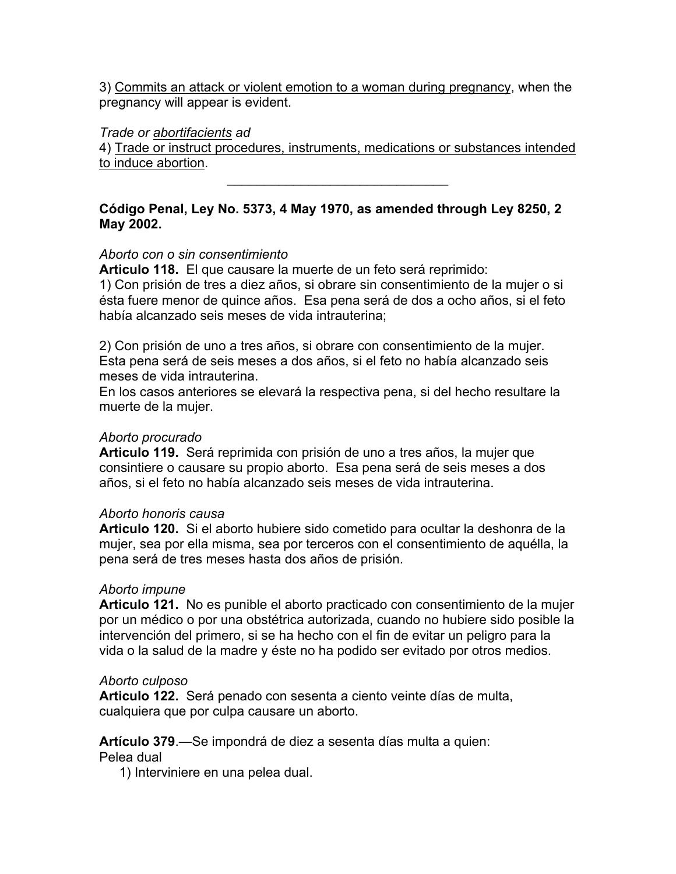3) Commits an attack or violent emotion to a woman during pregnancy, when the pregnancy will appear is evident.

## *Trade or abortifacients ad*

4) Trade or instruct procedures, instruments, medications or substances intended to induce abortion.

 $\mathcal{L}_\text{max}$  , where  $\mathcal{L}_\text{max}$  and  $\mathcal{L}_\text{max}$ 

# **Código Penal, Ley No. 5373, 4 May 1970, as amended through Ley 8250, 2 May 2002.**

# *Aborto con o sin consentimiento*

**Articulo 118.** El que causare la muerte de un feto será reprimido: 1) Con prisión de tres a diez años, si obrare sin consentimiento de la mujer o si ésta fuere menor de quince años. Esa pena será de dos a ocho años, si el feto había alcanzado seis meses de vida intrauterina;

2) Con prisión de uno a tres años, si obrare con consentimiento de la mujer. Esta pena será de seis meses a dos años, si el feto no había alcanzado seis meses de vida intrauterina.

En los casos anteriores se elevará la respectiva pena, si del hecho resultare la muerte de la mujer.

## *Aborto procurado*

**Articulo 119.** Será reprimida con prisión de uno a tres años, la mujer que consintiere o causare su propio aborto. Esa pena será de seis meses a dos años, si el feto no había alcanzado seis meses de vida intrauterina.

### *Aborto honoris causa*

**Articulo 120.** Si el aborto hubiere sido cometido para ocultar la deshonra de la mujer, sea por ella misma, sea por terceros con el consentimiento de aquélla, la pena será de tres meses hasta dos años de prisión.

# *Aborto impune*

**Articulo 121.** No es punible el aborto practicado con consentimiento de la mujer por un médico o por una obstétrica autorizada, cuando no hubiere sido posible la intervención del primero, si se ha hecho con el fin de evitar un peligro para la vida o la salud de la madre y éste no ha podido ser evitado por otros medios.

### *Aborto culposo*

**Articulo 122.** Será penado con sesenta a ciento veinte días de multa, cualquiera que por culpa causare un aborto.

# **Artículo 379**.—Se impondrá de diez a sesenta días multa a quien:

Pelea dual

1) Interviniere en una pelea dual.